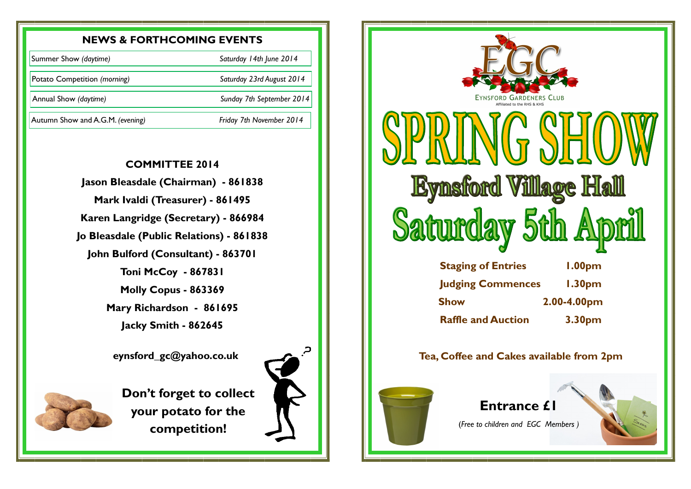## **NEWS & FORTHCOMING EVENTS**

## **COMMITTEE 2014**

**Jason Bleasdale (Chairman) - 861838 Mark Ivaldi (Treasurer) - 861495 Karen Langridge (Secretary) - 866984 Jo Bleasdale (Public Relations) - 861838 John Bulford (Consultant) - 863701 Toni McCoy - 867831 Molly Copus - 863369 Mary Richardson - 861695 Jacky Smith - 862645**

 **eynsford\_gc@yahoo.co.uk**



**Don't forget to collect your potato for the competition!**



Summer Show *(daytime) Saturday 14th June 2014*

Potato Competition *(morning) Saturday 23rd August 2014*

Annual Show *(daytime) Sunday 7th September 2014* 

Autumn Show and A.G.M. *(evening) Friday 7th November 2014*